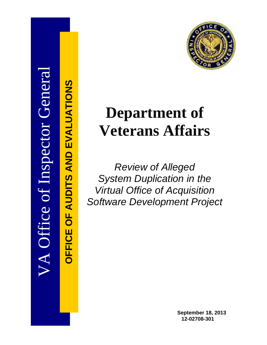

**OFFICE OF AUDITS AND EVALUATIONS**

**OFFICE** 

OF AUDITS AND EVALUATIONS



# **Department of Veterans Affairs**

*Review of Alleged System Duplication in the Virtual Office of Acquisition Software Development Project*

> **September 18, 2013 12-02708-301**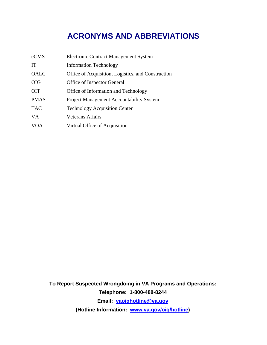## **ACRONYMS AND ABBREVIATIONS**

| eCMS        | <b>Electronic Contract Management System</b>       |
|-------------|----------------------------------------------------|
| <b>IT</b>   | <b>Information Technology</b>                      |
| OALC        | Office of Acquisition, Logistics, and Construction |
| <b>OIG</b>  | Office of Inspector General                        |
| <b>OIT</b>  | Office of Information and Technology               |
| <b>PMAS</b> | <b>Project Management Accountability System</b>    |
| <b>TAC</b>  | <b>Technology Acquisition Center</b>               |
| VA.         | <b>Veterans Affairs</b>                            |
| <b>VOA</b>  | Virtual Office of Acquisition                      |

**To Report Suspected Wrongdoing in VA Programs and Operations: Telephone: 1-800-488-8244 Email: [vaoighotline@va.gov](mailto:vaoighotline@va.gov) (Hotline Information: [www.va.gov/oig/hotline\)](http://www.va.gov/oig/hotline)**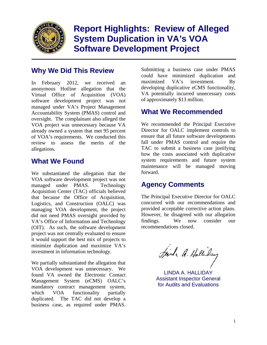

**Report Highlights: Review of Alleged System Duplication in VA's VOA Software Development Project** 

## **Why We Did This Review**

In February 2012, we received an anonymous Hotline allegation that the Virtual Office of Acquisition (VOA) software development project was not managed under VA's Project Management Accountability System (PMAS) control and oversight. The complainant also alleged the VOA project was unnecessary because VA already owned a system that met 95 percent of VOA's requirements. We conducted this review to assess the merits of the allegations.

## **What We Found**

We substantiated the allegation that the VOA software development project was not managed under PMAS. Technology Acquisition Center (TAC) officials believed that because the Office of Acquisition, Logistics, and Construction (OALC) was managing VOA development, the project did not need PMAS oversight provided by VA's Office of Information and Technology (OIT). As such, the software development project was not centrally evaluated to ensure it would support the best mix of projects to minimize duplication and maximize VA's investment in information technology.

We partially substantiated the allegation that VOA development was unnecessary. We found VA owned the Electronic Contact Management System (eCMS) OALC's mandatory contract management system, which VOA functionality partially duplicated. The TAC did not develop a business case, as required under PMAS.

Submitting a business case under PMAS could have minimized duplication and maximized VA's investment. By developing duplicative eCMS functionality, VA potentially incurred unnecessary costs of approximately \$13 million.

## **What We Recommended**

We recommended the Principal Executive Director for OALC implement controls to ensure that all future software developments fall under PMAS control and require the TAC to submit a business case justifying how the costs associated with duplicative system requirements and future system maintenance will be managed moving forward.

## **Agency Comments**

provided acceptable corrective action plans. The Principal Executive Director for OALC concurred with our recommendations and However, he disagreed with our allegation findings. We now consider our recommendations closed.

Find , a. Halliday

LINDA A. HALLIDAY Assistant Inspector General for Audits and Evaluations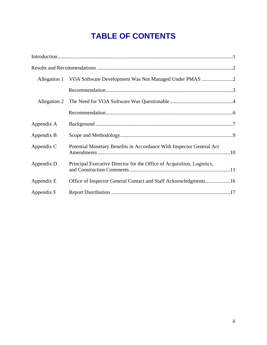## **TABLE OF CONTENTS**

| Allegation 1 |                                                                        |  |
|--------------|------------------------------------------------------------------------|--|
|              |                                                                        |  |
| Allegation 2 |                                                                        |  |
|              |                                                                        |  |
| Appendix A   |                                                                        |  |
| Appendix B   |                                                                        |  |
| Appendix C   | Potential Monetary Benefits in Accordance With Inspector General Act   |  |
| Appendix D   | Principal Executive Director for the Office of Acquisition, Logistics, |  |
| Appendix E   | Office of Inspector General Contact and Staff Acknowledgments16        |  |
| Appendix F   |                                                                        |  |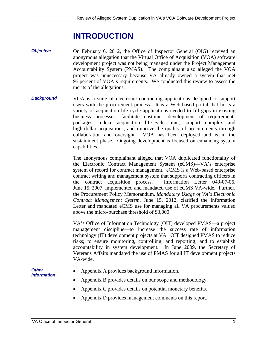## **INTRODUCTION**

- *Objective*  On February 6, 2012, the Office of Inspector General (OIG) received an anonymous allegation that the Virtual Office of Acquisition (VOA) software development project was not being managed under the Project Management Accountability System (PMAS). The complainant also alleged the VOA project was unnecessary because VA already owned a system that met 95 percent of VOA's requirements. We conducted this review to assess the merits of the allegations.
- *Background*  VOA is a suite of electronic contracting applications designed to support users with the procurement process. It is a Web-based portal that hosts a variety of acquisition life-cycle applications needed to fill gaps in existing business processes, facilitate customer development of requirements packages, reduce acquisition life-cycle time, support complex and high-dollar acquisitions, and improve the quality of procurements through collaboration and oversight. VOA has been deployed and is in the sustainment phase. Ongoing development is focused on enhancing system capabilities.

The anonymous complainant alleged that VOA duplicated functionality of the Electronic Contract Management System (eCMS)—VA's enterprise system of record for contract management. eCMS is a Web-based enterprise contract writing and management system that supports contracting officers in the contract acquisition process. Information Letter 049-07-06, June 15, 2007, implemented and mandated use of eCMS VA-wide. Further, the Procurement Policy Memorandum, *Mandatory Usage of VA's Electronic Contract Management System*, June 15, 2012, clarified the Information Letter and mandated eCMS use for managing all VA procurements valued above the micro-purchase threshold of \$3,000.

VA's Office of Information Technology (OIT) developed PMAS—a project management discipline—to increase the success rate of information technology (IT) development projects at VA. OIT designed PMAS to reduce risks; to ensure monitoring, controlling, and reporting; and to establish accountability in system development. In June 2009, the Secretary of Veterans Affairs mandated the use of PMAS for all IT development projects VA-wide.

*Other Information* 

- Appendix A provides background information.
- Appendix B provides details on our scope and methodology.
- Appendix C provides details on potential monetary benefits.
- Appendix D provides management comments on this report.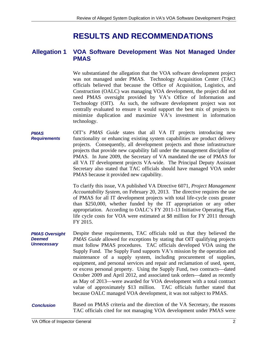## **RESULTS AND RECOMMENDATIONS**

#### **Allegation 1 VOA Software Development Was Not Managed Under PMAS**

We substantiated the allegation that the VOA software development project was not managed under PMAS. Technology Acquisition Center (TAC) officials believed that because the Office of Acquisition, Logistics, and Construction (OALC) was managing VOA development, the project did not need PMAS oversight provided by VA's Office of Information and Technology (OIT). As such, the software development project was not centrally evaluated to ensure it would support the best mix of projects to minimize duplication and maximize VA's investment in information technology.

*PMAS Requirements*  OIT's *PMAS Guide* states that all VA IT projects introducing new functionality or enhancing existing system capabilities are product delivery projects. Consequently, all development projects and those infrastructure projects that provide new capability fall under the management discipline of PMAS. In June 2009, the Secretary of VA mandated the use of PMAS for all VA IT development projects VA-wide. The Principal Deputy Assistant Secretary also stated that TAC officials should have managed VOA under PMAS because it provided new capability.

> To clarify this issue, VA published VA Directive 6071, *Project Management Accountability System*, on February 20, 2013. The directive requires the use of PMAS for all IT development projects with total life-cycle costs greater than \$250,000, whether funded by the IT appropriation or any other appropriation. According to OALC's FY 2011-13 Initiative Operating Plan, life cycle costs for VOA were estimated at \$8 million for FY 2011 through FY 2015.

- *PMAS Oversight Deemed Unnecessary*  Despite these requirements, TAC officials told us that they believed the *PMAS Guide* allowed for exceptions by stating that OIT qualifying projects must follow PMAS procedures. TAC officials developed VOA using the Supply Fund. The Supply Fund supports VA's mission by the operation and maintenance of a supply system, including procurement of supplies, equipment, and personal services and repair and reclamation of used, spent, or excess personal property. Using the Supply Fund, two contracts—dated October 2009 and April 2012, and associated task orders—dated as recently as May of 2013—were awarded for VOA development with a total contract value of approximately \$13 million. TAC officials further stated that because OALC managed VOA development, it was not subject to PMAS.
- Based on PMAS criteria and the direction of the VA Secretary, the reasons TAC officials cited for not managing VOA development under PMAS were *Conclusion*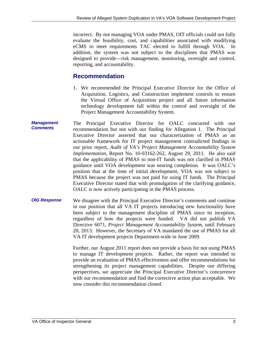incorrect. By not managing VOA under PMAS, OIT officials could not fully evaluate the feasibility, cost, and capabilities associated with modifying eCMS to meet requirements TAC elected to fulfill through VOA. In addition, the system was not subject to the disciplines that PMAS was designed to provide—risk management, monitoring, oversight and control, reporting, and accountability.

## **Recommendation**

- 1. We recommended the Principal Executive Director for the Office of Acquisition, Logistics, and Construction implement controls to ensure the Virtual Office of Acquisition project and all future information technology development fall within the control and oversight of the Project Management Accountability System.
- *Management Comments*  The Principal Executive Director for OALC concurred with our recommendation but not with our finding for Allegation 1. The Principal Executive Director asserted that our characterization of PMAS as an actionable framework for IT project management contradicted findings in our prior report, *Audit of VA's Project Management Accountability System Implementation,* Report No. 10-03162-262, August 29, 2011. He also said that the applicability of PMAS to non-IT funds was not clarified in PMAS guidance until VOA development was nearing completion. It was OALC's position that at the time of initial development, VOA was not subject to PMAS because the project was not paid for using IT funds. The Principal Executive Director stated that with promulgation of the clarifying guidance, OALC is now actively participating in the PMAS process.
- *OIG Response*  We disagree with the Principal Executive Director's comments and continue in our position that all VA IT projects introducing new functionality have been subject to the management discipline of PMAS since its inception, regardless of how the projects were funded. VA did not publish VA Directive 6071, *Project Management Accountability System*, until February 20, 2013. However, the Secretary of VA mandated the use of PMAS for all VA IT development projects Department-wide in June 2009.

Further, our August 2011 report does not provide a basis for not using PMAS to manage IT development projects. Rather, the report was intended to provide an evaluation of PMAS effectiveness and offer recommendations for strengthening its project management capabilities. Despite our differing perspectives, we appreciate the Principal Executive Director's concurrence with our recommendation and find the corrective action plan acceptable. We now consider this recommendation closed.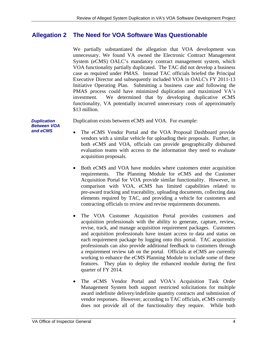## **Allegation 2 The Need for VOA Software Was Questionable**

 \$13 million. We partially substantiated the allegation that VOA development was unnecessary. We found VA owned the Electronic Contract Management System (eCMS) OALC's mandatory contract management system, which VOA functionality partially duplicated. The TAC did not develop a business case as required under PMAS. Instead TAC officials briefed the Principal Executive Director and subsequently included VOA in OALC's FY 2011-13 Initiative Operating Plan. Submitting a business case and following the PMAS process could have minimized duplication and maximized VA's investment. We determined that by developing duplicative eCMS functionality, VA potentially incurred unnecessary costs of approximately

*Duplication* Duplication exists between eCMS and VOA. For example:

- The eCMS Vendor Portal and the VOA Proposal Dashboard provide vendors with a similar vehicle for uploading their proposals. Further, in both eCMS and VOA, officials can provide geographically disbursed evaluation teams with access to the information they need to evaluate acquisition proposals.
- Both eCMS and VOA have modules where customers enter acquisition requirements. The Planning Module for eCMS and the Customer Acquisition Portal for VOA provide similar functionality. However, in comparison with VOA, eCMS has limited capabilities related to pre-award tracking and traceability, uploading documents, collecting data elements required by TAC, and providing a vehicle for customers and contracting officials to review and revise requirements documents.
- The VOA Customer Acquisition Portal provides customers and acquisition professionals with the ability to generate, capture, review, revise, track, and manage acquisition requirement packages. Customers and acquisition professionals have instant access to data and status on each requirement package by logging onto this portal. TAC acquisition professionals can also provide additional feedback to customers through a requirement review tab on the portal. Officials at eCMS are currently working to enhance the eCMS Planning Module to include some of these features. They plan to deploy the enhanced module during the first quarter of FY 2014.
- The eCMS Vendor Portal and VOA's Acquisition Task Order Management System both support restricted solicitations for multiple award indefinite delivery/indefinite quantity contracts and submission of vendor responses. However, according to TAC officials, eCMS currently does not provide all of the functionality they require. While both

and eCMS *Between VOA*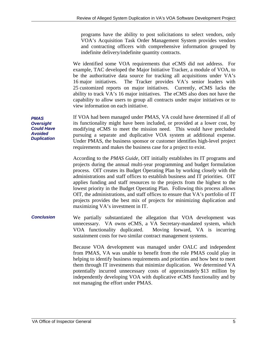programs have the ability to post solicitations to select vendors, only VOA's Acquisition Task Order Management System provides vendors and contracting officers with comprehensive information grouped by indefinite delivery/indefinite quantity contracts.

We identified some VOA requirements that eCMS did not address. For example, TAC developed the Major Initiative Tracker, a module of VOA, to be the authoritative data source for tracking all acquisitions under VA's 16 major initiatives. The Tracker provides VA's senior leaders with 25 customized reports on major initiatives. Currently, eCMS lacks the ability to track VA's 16 major initiatives. The eCMS also does not have the capability to allow users to group all contracts under major initiatives or to view information on each initiative.

If VOA had been managed under PMAS, VA could have determined if all of its functionality might have been included, or provided at a lower cost, by modifying eCMS to meet the mission need. This would have precluded pursuing a separate and duplicative VOA system at additional expense. Under PMAS, the business sponsor or customer identifies high-level project requirements and makes the business case for a project to exist.

> According to the *PMAS Guide*, OIT initially establishes its IT programs and projects during the annual multi-year programming and budget formulation process. OIT creates its Budget Operating Plan by working closely with the administrations and staff offices to establish business and IT priorities. OIT applies funding and staff resources to the projects from the highest to the lowest priority in the Budget Operating Plan. Following this process allows OIT, the administrations, and staff offices to ensure that VA's portfolio of IT projects provides the best mix of projects for minimizing duplication and maximizing VA's investment in IT.

#### *Conclusion*  We partially substantiated the allegation that VOA development was unnecessary. VA owns eCMS, a VA Secretary-mandated system, which VOA functionality duplicated. Moving forward, VA is incurring sustainment costs for two similar contract management systems.

Because VOA development was managed under OALC and independent from PMAS, VA was unable to benefit from the role PMAS could play in helping to identify business requirements and priorities and how best to meet them through IT investments that minimize duplication. We determined VA potentially incurred unnecessary costs of approximately \$13 million by independently developing VOA with duplicative eCMS functionality and by not managing the effort under PMAS.

*PMAS Oversight Could Have Avoided Duplication*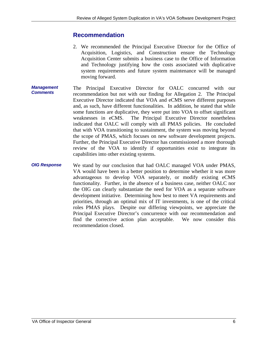## **Recommendation**

- 2. We recommended the Principal Executive Director for the Office of Acquisition, Logistics, and Construction ensure the Technology Acquisition Center submits a business case to the Office of Information and Technology justifying how the costs associated with duplicative system requirements and future system maintenance will be managed moving forward.
- *Management Comments*  The Principal Executive Director for OALC concurred with our recommendation but not with our finding for Allegation 2. The Principal Executive Director indicated that VOA and eCMS serve different purposes and, as such, have different functionalities. In addition, he stated that while some functions are duplicative, they were put into VOA to offset significant weaknesses in eCMS. The Principal Executive Director nonetheless indicated that OALC will comply with all PMAS policies. He concluded that with VOA transitioning to sustainment, the system was moving beyond the scope of PMAS, which focuses on new software development projects. Further, the Principal Executive Director has commissioned a more thorough review of the VOA to identify if opportunities exist to integrate its capabilities into other existing systems.
- *OIG Response*  We stand by our conclusion that had OALC managed VOA under PMAS, VA would have been in a better position to determine whether it was more advantageous to develop VOA separately, or modify existing eCMS functionality. Further, in the absence of a business case, neither OALC nor the OIG can clearly substantiate the need for VOA as a separate software development initiative. Determining how best to meet VA requirements and priorities, through an optimal mix of IT investments, is one of the critical roles PMAS plays. Despite our differing viewpoints, we appreciate the Principal Executive Director's concurrence with our recommendation and find the corrective action plan acceptable. We now consider this recommendation closed.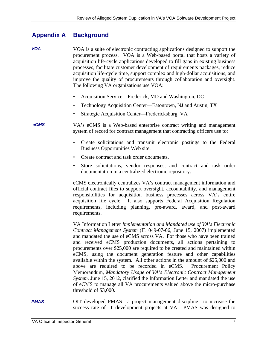#### **Appendix A Background**

- *VOA*  VOA is a suite of electronic contracting applications designed to support the procurement process. VOA is a Web-based portal that hosts a variety of acquisition life-cycle applications developed to fill gaps in existing business processes, facilitate customer development of requirements packages, reduce acquisition life-cycle time, support complex and high-dollar acquisitions, and improve the quality of procurements through collaboration and oversight. The following VA organizations use VOA:
	- Acquisition Service—Frederick, MD and Washington, DC
	- Technology Acquisition Center—Eatontown, NJ and Austin, TX
	- Strategic Acquisition Center—Fredericksburg, VA

 *eCMS*  VA's eCMS is a Web-based enterprise contract writing and management system of record for contract management that contracting officers use to:

- • Create solicitations and transmit electronic postings to the Federal Business Opportunities Web site.
- Create contract and task order documents.
- • Store solicitations, vendor responses, and contract and task order documentation in a centralized electronic repository.

eCMS electronically centralizes VA's contract management information and official contract files to support oversight, accountability, and management responsibilities for acquisition business processes across VA's entire acquisition life cycle. It also supports Federal Acquisition Regulation requirements, including planning, pre-award, award, and post-award requirements.

VA Information Letter *Implementation and Mandated use of VA's Electronic Contract Management System* (IL 049-07-06, June 15, 2007) implemented and mandated the use of eCMS across VA. For those who have been trained and received eCMS production documents, all actions pertaining to procurements over \$25,000 are required to be created and maintained within eCMS, using the document generation feature and other capabilities available within the system. All other actions in the amount of \$25,000 and above are required to be recorded in eCMS. Procurement Policy Memorandum, *Mandatory Usage of VA's Electronic Contract Management System*, June 15, 2012, clarified the Information Letter and mandated the use of eCMS to manage all VA procurements valued above the micro-purchase threshold of \$3,000.

OIT developed PMAS—a project management discipline—to increase the success rate of IT development projects at VA. PMAS was designed to *PMAS*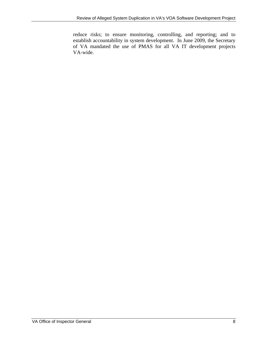reduce risks; to ensure monitoring, controlling, and reporting; and to establish accountability in system development. In June 2009, the Secretary of VA mandated the use of PMAS for all VA IT development projects VA-wide.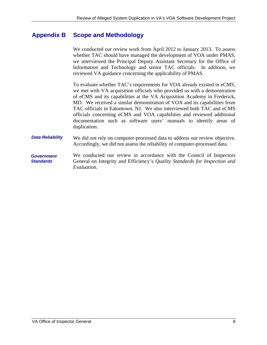## **Appendix B Scope and Methodology**

We conducted our review work from April 2012 to January 2013. To assess whether TAC should have managed the development of VOA under PMAS, we interviewed the Principal Deputy Assistant Secretary for the Office of Information and Technology and senior TAC officials. In addition, we reviewed VA guidance concerning the applicability of PMAS.

To evaluate whether TAC's requirements for VOA already existed in eCMS, we met with VA acquisition officials who provided us with a demonstration of eCMS and its capabilities at the VA Acquisition Academy in Frederick, MD. We received a similar demonstration of VOA and its capabilities from TAC officials in Eatontown, NJ. We also interviewed both TAC and eCMS officials concerning eCMS and VOA capabilities and reviewed additional documentation such as software users' manuals to identify areas of duplication.

- **Data Reliability** We did not rely on computer-processed data to address our review objective. Accordingly, we did not assess the reliability of computer-processed data.
- *Government Standards*  We conducted our review in accordance with the Council of Inspectors General on Integrity and Efficiency's *Quality Standards for Inspection and Evaluation*.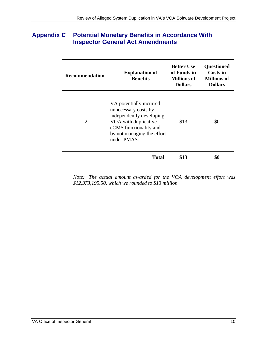## **Appendix C Potential Monetary Benefits in Accordance With Inspector General Act Amendments**

| <b>Recommendation</b> | <b>Explanation of</b><br><b>Benefits</b>                                                                                                                                   | <b>Better Use</b><br>of Funds in<br>Millions of<br><b>Dollars</b> | <b>Questioned</b><br>Costs in<br><b>Millions of</b><br><b>Dollars</b> |
|-----------------------|----------------------------------------------------------------------------------------------------------------------------------------------------------------------------|-------------------------------------------------------------------|-----------------------------------------------------------------------|
| 2                     | VA potentially incurred<br>unnecessary costs by<br>independently developing<br>VOA with duplicative<br>eCMS functionality and<br>by not managing the effort<br>under PMAS. | \$13                                                              | \$0                                                                   |
|                       | Total                                                                                                                                                                      | \$13                                                              |                                                                       |

*Note: The actual amount awarded for the VOA development effort was \$12,973,195.50, which we rounded to \$13 million.*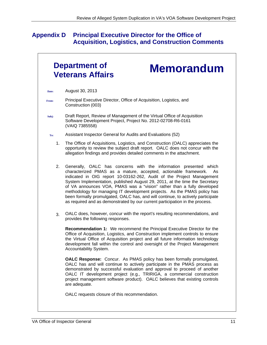## **Appendix D Principal Executive Director for the Office of Acquisition, Logistics, and Construction Comments**

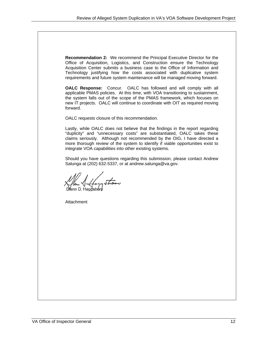**Recommendation 2:** We recommend the Principal Executive Director for the Office of Acquisition, Logistics, and Construction ensure the Technology Acquisition Center submits a business case to the Office of Information and Technology justifying how the costs associated with duplicative system requirements and future system maintenance will be managed moving forward.

**OALC Response:** Concur. OALC has followed and will comply with all applicable PMAS policies. At this time, with VOA transitioning to sustainment, the system falls out of the scope of the PMAS framework, which focuses on new IT projects. OALC will continue to coordinate with OIT as required moving forward.

OALC requests closure of this recommendation.

Lastly, while OALC does not believe that the findings in the report regarding "duplicity" and "unnecessary costs" are substantiated, OALC takes these claims seriously. Although not recommended by the OIG, I have directed a more thorough review of the system to identify if viable opportunities exist to integrate VOA capabilities into other existing systems.

Should you have questions regarding this submission, please contact Andrew Salunga at (202) 632-5337, or at [andrew.salunga@va.gov.](mailto:andrew.salunga@va.gov) 

Vhow

Attachment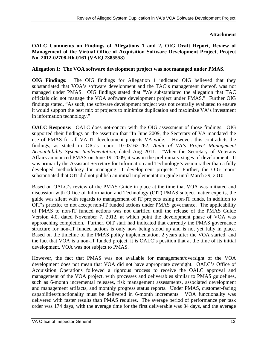## **Attachment**

### **OALC Comments on Findings of Allegations 1 and 2, OIG Draft Report, Review of Management of the Virtual Office of Acquisition Software Development Project, Project No. 2012-02708-R6-0161 (VAIQ 7385558)**

### **Allegation 1: The VOA software development project was not managed under PMAS.**

**OIG Findings:** The OIG findings for Allegation 1 indicated OIG believed that they substantiated that VOA's software development and the TAC's management thereof, was not managed under PMAS. OIG findings stated that "We substantiated the allegation that TAC officials did not manage the VOA software development project under PMAS." Further OIG findings stated, "As such, the software development project was not centrally evaluated to ensure it would support the best mix of projects to minimize duplication and maximize VA's investment in information technology."

**OALC Response:** OALC does not-concur with the OIG assessment of those findings. OIG supported their findings on the assertion that "In June 2009, the Secretary of VA mandated the use of PMAS for all VA IT development projects VA-wide." However, this contradicts the findings, as stated in OIG's report 10-03162-262, *Audit of VA's Project Management Accountability System Implementation*, dated Aug 2011: "When the Secretary of Veterans Affairs announced PMAS on June 19, 2009, it was in the preliminary stages of development. It was primarily the Assistant Secretary for Information and Technology's vision rather than a fully developed methodology for managing IT development projects." Further, the OIG report substantiated that OIT did not publish an initial implementation guide until March 29, 2010.

Based on OALC's review of the PMAS Guide in place at the time that VOA was initiated and discussion with Office of Information and Technology (OIT) PMAS subject matter experts, the guide was silent with regards to management of IT projects using non-IT funds, in addition to OIT's practice to not accept non-IT funded actions under PMAS governance. The applicability of PMAS to non-IT funded actions was not clarified until the release of the PMAS Guide Version 4.0, dated November 7, 2012, at which point the development phase of VOA was approaching completion. Further, OIT staff had indicated that currently the PMAS governance structure for non-IT funded actions is only now being stood up and is not yet fully in place. Based on the timeline of the PMAS policy implementation, 2 years after the VOA started, and the fact that VOA is a non-IT funded project, it is OALC's position that at the time of its initial development, VOA was not subject to PMAS.

However, the fact that PMAS was not available for management/oversight of the VOA development does not mean that VOA did not have appropriate oversight. OALC's Office of Acquisition Operations followed a rigorous process to receive the OALC approval and management of the VOA project, with processes and deliverables similar to PMAS guidelines, such as 6-month incremental releases, risk management assessments, associated development and management artifacts, and monthly progress status reports. Under PMAS, customer-facing capabilities/functionality must be delivered in 6-month increments. VOA functionality was delivered with faster results than PMAS requires. The average period of performance per task order was 174 days, with the average time for the first deliverable was 34 days, and the average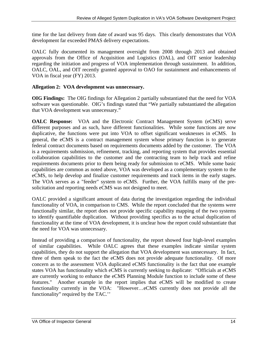time for the last delivery from date of award was 95 days. This clearly demonstrates that VOA development far exceeded PMAS delivery expectations.

OALC fully documented its management oversight from 2008 through 2013 and obtained approvals from the Office of Acquisition and Logistics (OAL), and OIT senior leadership regarding the initiation and progress of VOA implementation through sustainment. In addition, OALC, OAL, and OIT recently granted approval to OAO for sustainment and enhancements of VOA in fiscal year (FY) 2013.

## **Allegation 2: VOA development was unnecessary.**

**OIG Findings:** The OIG findings for Allegation 2 partially substantiated that the need for VOA software was questionable. OIG's findings stated that "We partially substantiated the allegation that VOA development was unnecessary."

eCMS, to help develop and finalize customer requirements and track items in the early stages. **OALC Response:** VOA and the Electronic Contract Management System (eCMS) serve different purposes and as such, have different functionalities. While some functions are now duplicative, the functions were put into VOA to offset significant weaknesses in eCMS. In general, the eCMS is a contract management system whose primary function is to generate federal contract documents based on requirements documents added by the customer. The VOA is a requirements submission, refinement, tracking, and reporting system that provides essential collaboration capabilities to the customer and the contracting team to help track and refine requirements documents prior to them being ready for submission to eCMS. While some basic capabilities are common as noted above, VOA was developed as a complementary system to the The VOA serves as a "feeder" system to eCMS. Further, the VOA fulfills many of the presolicitation and reporting needs eCMS was not designed to meet.

OALC provided a significant amount of data during the investigation regarding the individual functionality of VOA, in comparison to CMS. While the report concluded that the systems were functionally similar, the report does not provide specific capability mapping of the two systems to identify quantifiable duplication. Without providing specifics as to the actual duplication of functionality at the time of VOA development, it is unclear how the report could substantiate that the need for VOA was unnecessary.

Instead of providing a comparison of functionality, the report showed four high-level examples of similar capabilities. While OALC agrees that these examples indicate similar system capabilities, they do not support the allegation that VOA development was unnecessary. In fact, three of them speak to the fact the eCMS does not provide adequate functionality. Of more concern as to the assessment VOA duplicated eCMS functionality is the fact that one example states VOA has functionality which eCMS is currently seeking to duplicate: "Officials at eCMS are currently working to enhance the eCMS Planning Module function to include some of these features." Another example in the report implies that eCMS will be modified to create functionality currently in the VOA: "However…eCMS currently does not provide all the functionality" required by the TAC.''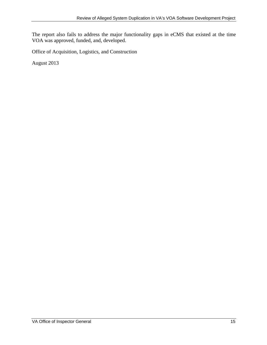The report also fails to address the major functionality gaps in eCMS that existed at the time VOA was approved, funded, and, developed.

Office of Acquisition, Logistics, and Construction

August 2013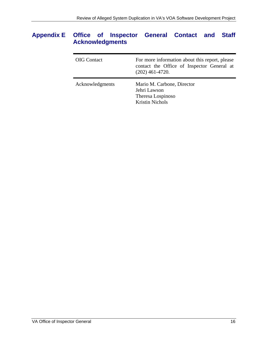## **Appendix E Office of Inspector General Contact and Staff Acknowledgments**

| <b>OIG</b> Contact | For more information about this report, please<br>contact the Office of Inspector General at<br>$(202)$ 461-4720. |
|--------------------|-------------------------------------------------------------------------------------------------------------------|
| Acknowledgments    | Mario M. Carbone, Director<br>Jehri Lawson<br>Theresa Lospinoso<br><b>Kristin Nichols</b>                         |